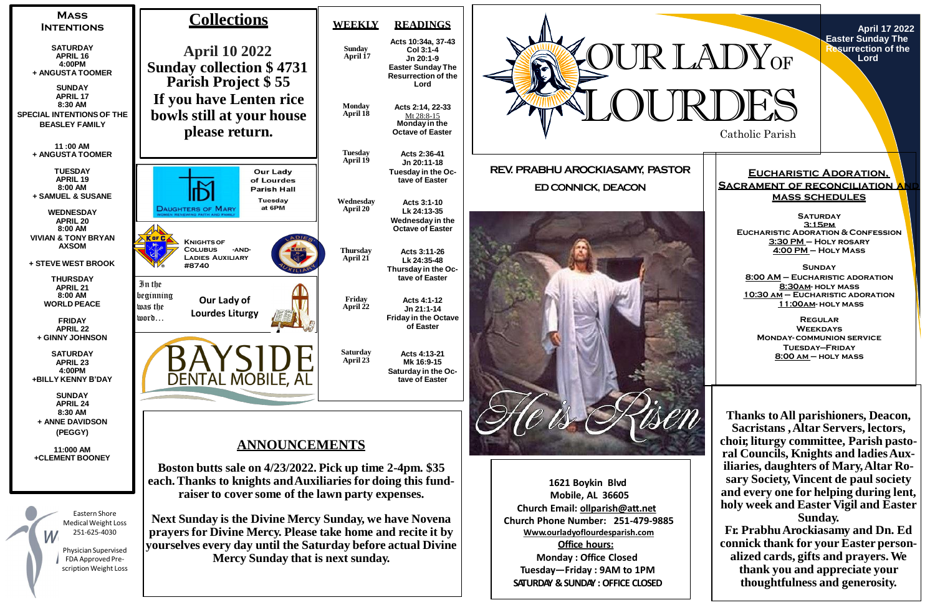

**April 17 2022 Easter Sunday The Resurrection of the Lord**



**SATURDAY 3:15pm Eucharistic Adoration & Confession 3:30 PM – Holy rosary 4:00 PM – Holy Mass**

## **Eucharistic Adoration, SACRAMENT OF RECONCILIATION A mass schedules**

**Sunday 8:00 AM – Eucharistic adoration 8:30am- holy mass 10:30 am – Eucharistic adoration 11:00am- holy mass**

**Regular Weekdays Monday- communion service Tuesday—Friday 8:00 am – holy mass**

**Thanks toAll parishioners, Deacon, Sacristans ,Altar Servers, lectors, choir, liturgy committee, Parish pastoral Councils, Knights and ladiesAuxiliaries, daughters of Mary,Altar Rosary Society, Vincent de paul society and every one for helping during lent, holy week and Easter Vigil and Easter Sunday.**

**Fr. PrabhuArockiasamy and Dn. Ed connick thank for your Easter personalized cards, gifts and prayers.We thank you and appreciate your thoughtfulness and generosity.**